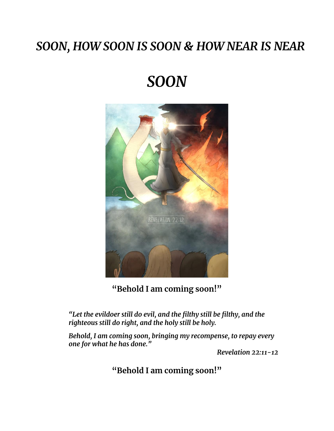### *SOON, HOW SOON IS SOON & HOW NEAR IS NEAR*

# *SOON*



**"Behold I am coming soon!"**

*"Let the evildoer still do evil, and the filthy still be filthy, and the righteous still do right, and the holy still be holy.* 

*Behold, I am coming soon, bringing my recompense, to repay every one for what he has done."* 

*Revelation 22:11-12*

**"Behold I am coming soon!"**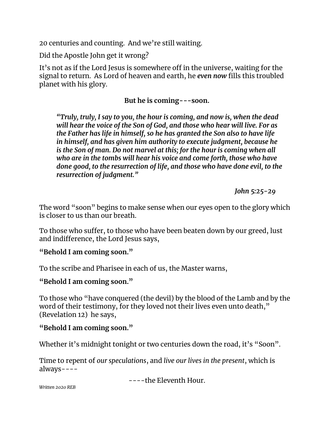20 centuries and counting. And we're still waiting.

Did the Apostle John get it wrong?

It's not as if the Lord Jesus is somewhere off in the universe, waiting for the signal to return. As Lord of heaven and earth, he *even now* fills this troubled planet with his glory.

#### **But he is coming---soon.**

*"Truly, truly, I say to you, the hour is coming, and now is, when the dead will hear the voice of the Son of God, and those who hear will live. For as the Father has life in himself, so he has granted the Son also to have life in himself, and has given him authority to execute judgment, because he is the Son of man. Do not marvel at this; for the hour is coming when all who are in the tombs will hear his voice and come forth, those who have done good, to the resurrection of life, and those who have done evil, to the resurrection of judgment."*

*John 5:25-29*

The word "soon" begins to make sense when our eyes open to the glory which is closer to us than our breath.

To those who suffer, to those who have been beaten down by our greed, lust and indifference, the Lord Jesus says,

#### **"Behold I am coming soon."**

To the scribe and Pharisee in each of us, the Master warns,

#### **"Behold I am coming soon."**

To those who "have conquered (the devil) by the blood of the Lamb and by the word of their testimony, for they loved not their lives even unto death," (Revelation 12) he says,

#### **"Behold I am coming soon."**

Whether it's midnight tonight or two centuries down the road, it's "Soon".

Time to repent of *our speculations*, and *live our lives in the present*, which is always----

----the Eleventh Hour.

*Written 2020 REB*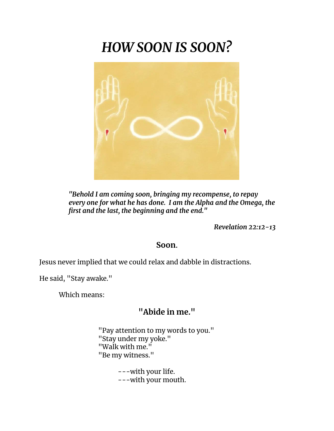## *HOW SOON IS SOON?*



*"Behold I am coming soon, bringing my recompense, to repay every one for what he has done. I am the Alpha and the Omega, the first and the last, the beginning and the end."*

*Revelation 22:12-13*

#### **Soon.**

Jesus never implied that we could relax and dabble in distractions.

He said, "Stay awake."

Which means:

### **"Abide in me."**

"Pay attention to my words to you." "Stay under my yoke." "Walk with me." "Be my witness."

> ---with your life. ---with your mouth.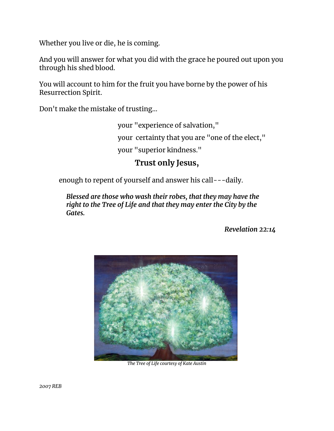Whether you live or die, he is coming.

And you will answer for what you did with the grace he poured out upon you through his shed blood.

You will account to him for the fruit you have borne by the power of his Resurrection Spirit.

Don't make the mistake of trusting…

your "experience of salvation," your certainty that you are "one of the elect," your "superior kindness."

#### **Trust only Jesus,**

enough to repent of yourself and answer his call---daily.

*Blessed are those who wash their robes, that they may have the right to the Tree of Life and that they may enter the City by the Gates.*

*Revelation 22:14*



*The Tree of Life courtesy of Kate Austin*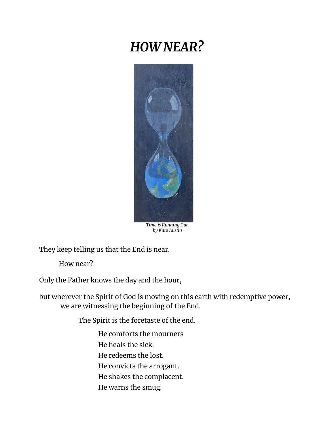### *HOW NEAR?*



*by Kate Austin*

They keep telling us that the End is near.

How near?

Only the Father knows the day and the hour,

but wherever the Spirit of God is moving on this earth with redemptive power, we are witnessing the beginning of the End.

The Spirit is the foretaste of the end.

He comforts the mourners

He heals the sick.

He redeems the lost.

He convicts the arrogant.

- He shakes the complacent.
- He warns the smug.